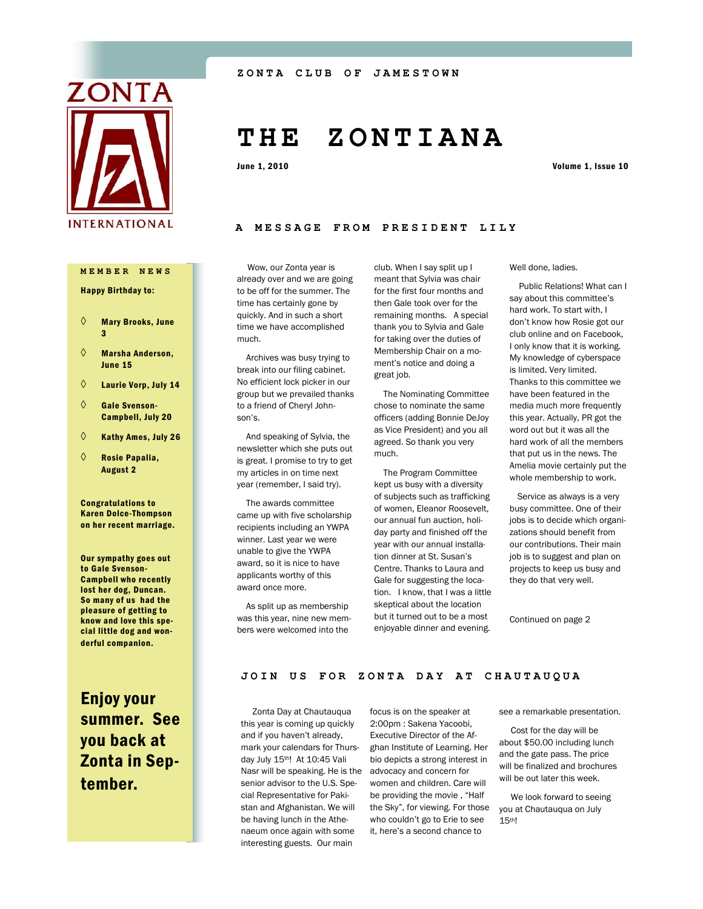

**MEMBER NEWS**

#### Happy Birthday to:

- $\diamond$  Mary Brooks, June 3
- $\diamond$  Marsha Anderson, June 15
- $\Diamond$  Laurie Vorp, July 14
- $\Diamond$  Gale Svenson-Campbell, July 20
- $\Diamond$  Kathy Ames, July 26
- $\Diamond$  Rosie Papalia, August 2

Congratulations to Karen Dolce-Thompson on her recent marriage.

Our sympathy goes out to Gale Svenson-Campbell who recently lost her dog, Duncan. So many of us had the pleasure of getting to know and love this special little dog and wonderful companion.

Enjoy your summer. See you back at Zonta in September.

# **T H E Z O N T I A N A**

June 1, 2010 Volume 1, Issue 10

#### **A MESSAGE FROM PRESI D E N T L I L Y**

 Wow, our Zonta year is already over and we are going to be off for the summer. The time has certainly gone by quickly. And in such a short time we have accomplished much.

 Archives was busy trying to break into our filing cabinet. No efficient lock picker in our group but we prevailed thanks to a friend of Cheryl Johnson's.

 And speaking of Sylvia, the newsletter which she puts out is great. I promise to try to get my articles in on time next year (remember, I said try).

 The awards committee came up with five scholarship recipients including an YWPA winner. Last year we were unable to give the YWPA award, so it is nice to have applicants worthy of this award once more.

 As split up as membership was this year, nine new members were welcomed into the

club. When I say split up I meant that Sylvia was chair for the first four months and then Gale took over for the remaining months. A special thank you to Sylvia and Gale for taking over the duties of Membership Chair on a moment's notice and doing a great job.

 The Nominating Committee chose to nominate the same officers (adding Bonnie DeJoy as Vice President) and you all agreed. So thank you very much.

 The Program Committee kept us busy with a diversity of subjects such as trafficking of women, Eleanor Roosevelt, our annual fun auction, holiday party and finished off the year with our annual installation dinner at St. Susan's Centre. Thanks to Laura and Gale for suggesting the location. I know, that I was a little skeptical about the location but it turned out to be a most enjoyable dinner and evening.

Well done, ladies.

 Public Relations! What can I say about this committee's hard work. To start with, I don't know how Rosie got our club online and on Facebook, I only know that it is working. My knowledge of cyberspace is limited. Very limited. Thanks to this committee we have been featured in the media much more frequently this year. Actually, PR got the word out but it was all the hard work of all the members that put us in the news. The Amelia movie certainly put the whole membership to work.

 Service as always is a very busy committee. One of their jobs is to decide which organizations should benefit from our contributions. Their main job is to suggest and plan on projects to keep us busy and they do that very well.

Continued on page 2

### JOIN US FOR ZONTA DAY AT CHAUTAUQUA

 Zonta Day at Chautauqua this year is coming up quickly and if you haven't already, mark your calendars for Thursday July 15th! At 10:45 Vali Nasr will be speaking. He is the senior advisor to the U.S. Special Representative for Pakistan and Afghanistan. We will be having lunch in the Athenaeum once again with some interesting guests. Our main

focus is on the speaker at 2:00pm : Sakena Yacoobi, Executive Director of the Afghan Institute of Learning. Her bio depicts a strong interest in advocacy and concern for women and children. Care will be providing the movie , "Half the Sky", for viewing. For those who couldn't go to Erie to see it, here's a second chance to

see a remarkable presentation.

 Cost for the day will be about \$50.00 including lunch and the gate pass. The price will be finalized and brochures will be out later this week.

 We look forward to seeing you at Chautauqua on July 15th!